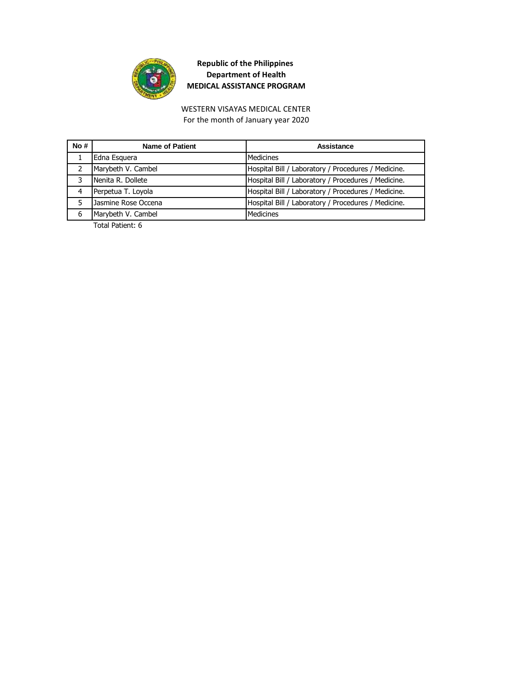

For the month of January year 2020 WESTERN VISAYAS MEDICAL CENTER

| No# | <b>Name of Patient</b> | Assistance                                          |
|-----|------------------------|-----------------------------------------------------|
|     | Edna Esquera           | Medicines                                           |
|     | Marybeth V. Cambel     | Hospital Bill / Laboratory / Procedures / Medicine. |
| 3   | Nenita R. Dollete      | Hospital Bill / Laboratory / Procedures / Medicine. |
| 4   | Perpetua T. Loyola     | Hospital Bill / Laboratory / Procedures / Medicine. |
|     | Jasmine Rose Occena    | Hospital Bill / Laboratory / Procedures / Medicine. |
| 6   | Marybeth V. Cambel     | Medicines                                           |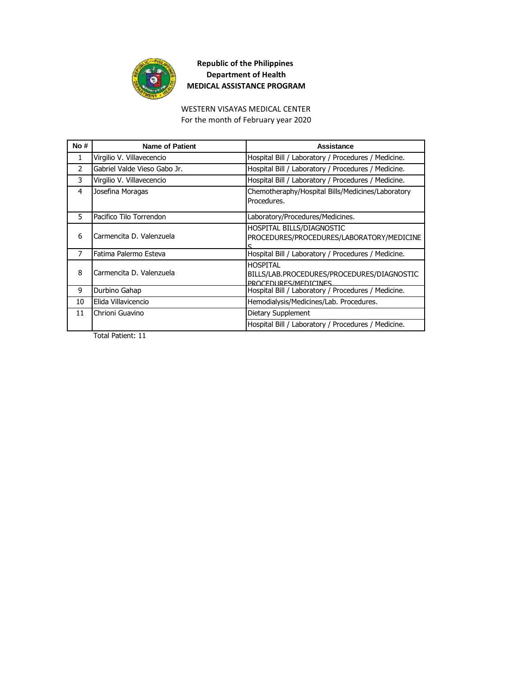

#### For the month of February year 2020 WESTERN VISAYAS MEDICAL CENTER

| No#           | <b>Name of Patient</b>       | Assistance                                                                     |
|---------------|------------------------------|--------------------------------------------------------------------------------|
| $\mathbf{1}$  | Virgilio V. Villavecencio    | Hospital Bill / Laboratory / Procedures / Medicine.                            |
| $\mathcal{P}$ | Gabriel Valde Vieso Gabo Jr. | Hospital Bill / Laboratory / Procedures / Medicine.                            |
| 3             | Virgilio V. Villavecencio    | Hospital Bill / Laboratory / Procedures / Medicine.                            |
| 4             | Josefina Moragas             | Chemotheraphy/Hospital Bills/Medicines/Laboratory<br>Procedures.               |
| 5             | Pacifico Tilo Torrendon      | Laboratory/Procedures/Medicines.                                               |
| 6             | Carmencita D. Valenzuela     | HOSPITAL BILLS/DIAGNOSTIC<br>PROCEDURES/PROCEDURES/LABORATORY/MEDICINE         |
| 7             | Fatima Palermo Esteva        | Hospital Bill / Laboratory / Procedures / Medicine.                            |
| 8             | Carmencita D. Valenzuela     | HOSPITAL<br>BILLS/LAB.PROCEDURES/PROCEDURES/DIAGNOSTIC<br>PROCEDURES/MEDICINES |
| 9             | Durbino Gahap                | Hospital Bill / Laboratory / Procedures / Medicine.                            |
| 10            | Elida Villavicencio          | Hemodialysis/Medicines/Lab. Procedures.                                        |
| 11            | Chrioni Guavino              | Dietary Supplement                                                             |
|               |                              | Hospital Bill / Laboratory / Procedures / Medicine.                            |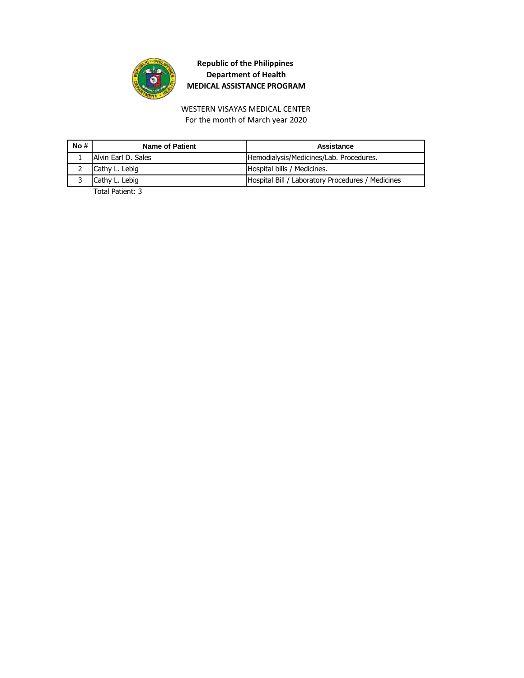

For the month of March year 2020 WESTERN VISAYAS MEDICAL CENTER

| No# | Name of Patient               | Assistance                                        |
|-----|-------------------------------|---------------------------------------------------|
|     | Alvin Earl D. Sales           | Hemodialysis/Medicines/Lab. Procedures.           |
|     | Cathy L. Lebig                | Hospital bills / Medicines.                       |
|     | Cathy L. Lebig                | Hospital Bill / Laboratory Procedures / Medicines |
|     | $T - 1 = 1, 2, 3, 4, 5, 6, 7$ |                                                   |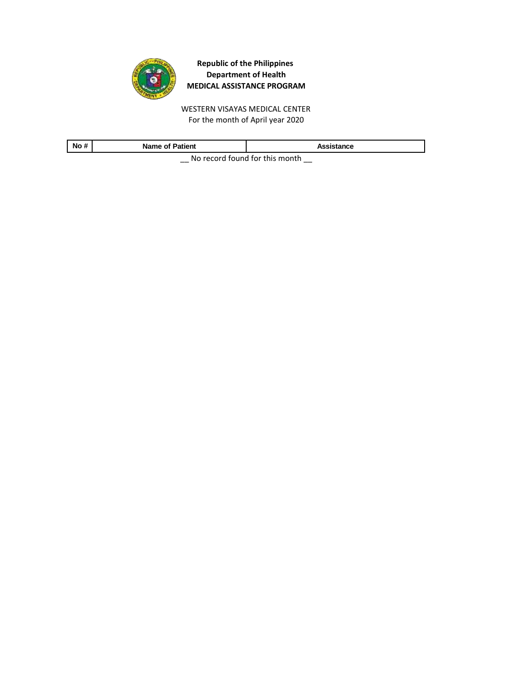

WESTERN VISAYAS MEDICAL CENTER For the month of April year 2020

| No#                            | <b>Name of Patient</b> | Assistance |
|--------------------------------|------------------------|------------|
| No rocard found for this month |                        |            |

 $\equiv$  No record found for this month  $\equiv$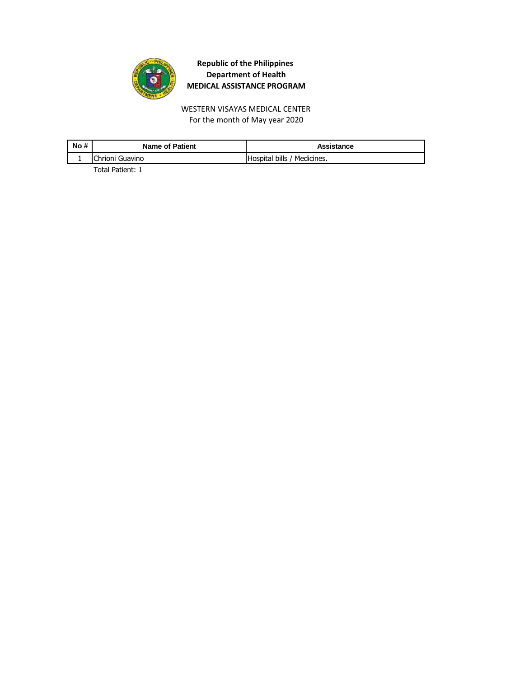

For the month of May year 2020 WESTERN VISAYAS MEDICAL CENTER

| No # | <b>Name of Patient</b> | Assistance                  |
|------|------------------------|-----------------------------|
|      | Chrioni Guavino        | Hospital bills / Medicines. |
|      |                        |                             |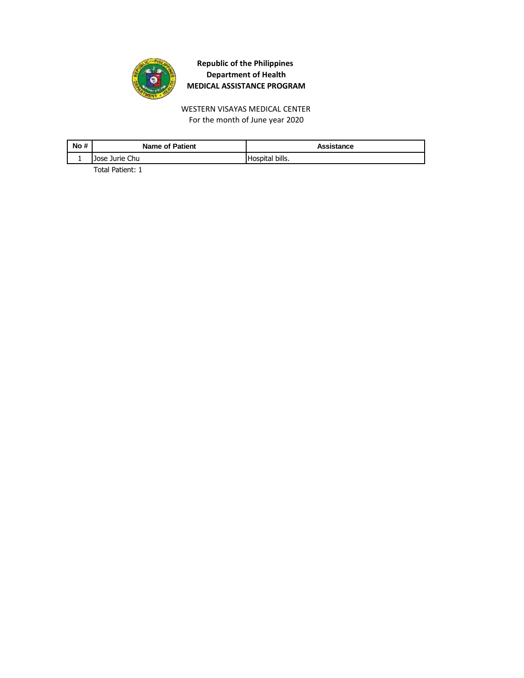

WESTERN VISAYAS MEDICAL CENTER For the month of June year 2020

| No # | <b>Name of Patient</b> | Assistance      |
|------|------------------------|-----------------|
|      | Jose Jurie Chu         | Hospital bills. |
|      | _ _                    |                 |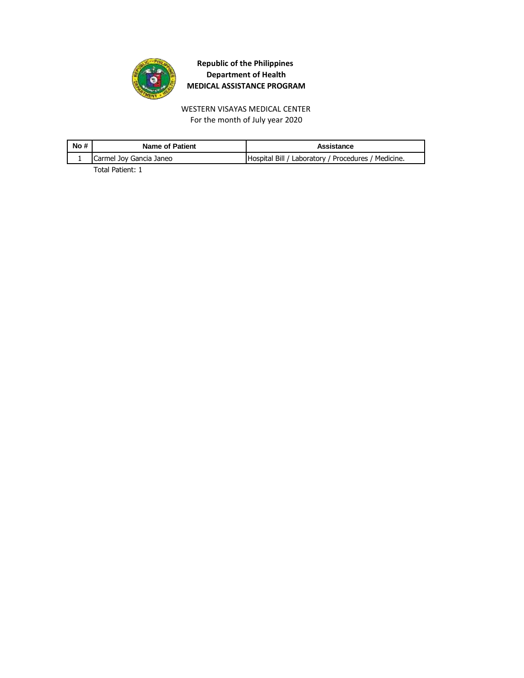

WESTERN VISAYAS MEDICAL CENTER For the month of July year 2020

| No# | <b>Name of Patient</b>  | Assistance                                          |
|-----|-------------------------|-----------------------------------------------------|
|     | Carmel Joy Gancia Janeo | Hospital Bill / Laboratory / Procedures / Medicine. |
|     | _ _                     |                                                     |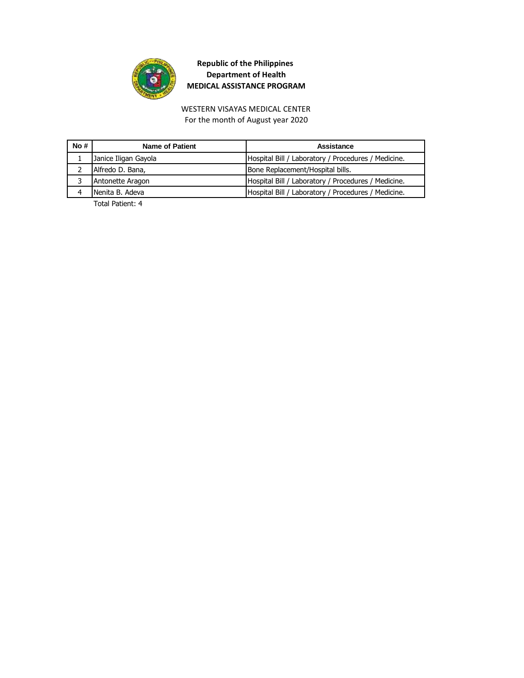

#### WESTERN VISAYAS MEDICAL CENTER For the month of August year 2020

| No # | Name of Patient      | Assistance                                          |
|------|----------------------|-----------------------------------------------------|
|      | Janice Iligan Gayola | Hospital Bill / Laboratory / Procedures / Medicine. |
|      | Alfredo D. Bana,     | Bone Replacement/Hospital bills.                    |
|      | Antonette Aragon     | Hospital Bill / Laboratory / Procedures / Medicine. |
|      | Nenita B. Adeva      | Hospital Bill / Laboratory / Procedures / Medicine. |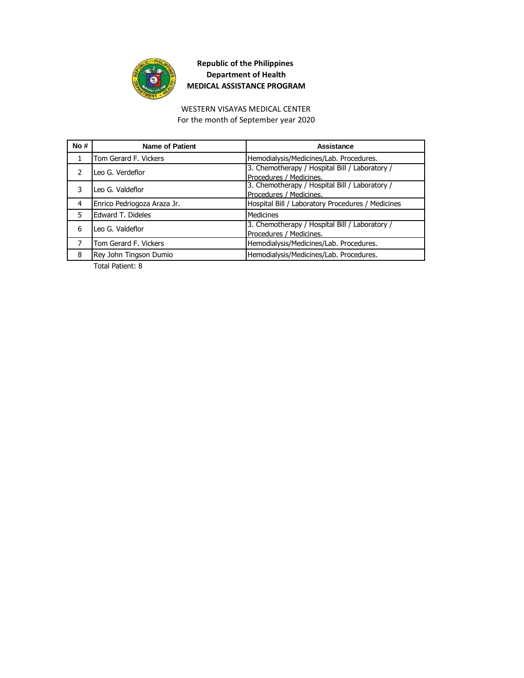

#### WESTERN VISAYAS MEDICAL CENTER For the month of September year 2020

| No# | <b>Name of Patient</b>      | Assistance                                                                |
|-----|-----------------------------|---------------------------------------------------------------------------|
|     | Tom Gerard F. Vickers       | Hemodialysis/Medicines/Lab. Procedures.                                   |
|     | Leo G. Verdeflor            | 3. Chemotherapy / Hospital Bill / Laboratory /<br>Procedures / Medicines. |
|     | Leo G. Valdeflor            | 3. Chemotherapy / Hospital Bill / Laboratory /<br>Procedures / Medicines. |
| 4   | Enrico Pedriogoza Araza Jr. | Hospital Bill / Laboratory Procedures / Medicines                         |
| 5   | Edward T. Dideles           | <b>Medicines</b>                                                          |
| 6   | Leo G. Valdeflor            | 3. Chemotherapy / Hospital Bill / Laboratory /<br>Procedures / Medicines. |
|     | Tom Gerard F. Vickers       | Hemodialysis/Medicines/Lab. Procedures.                                   |
| 8   | Rey John Tingson Dumio      | Hemodialysis/Medicines/Lab. Procedures.                                   |